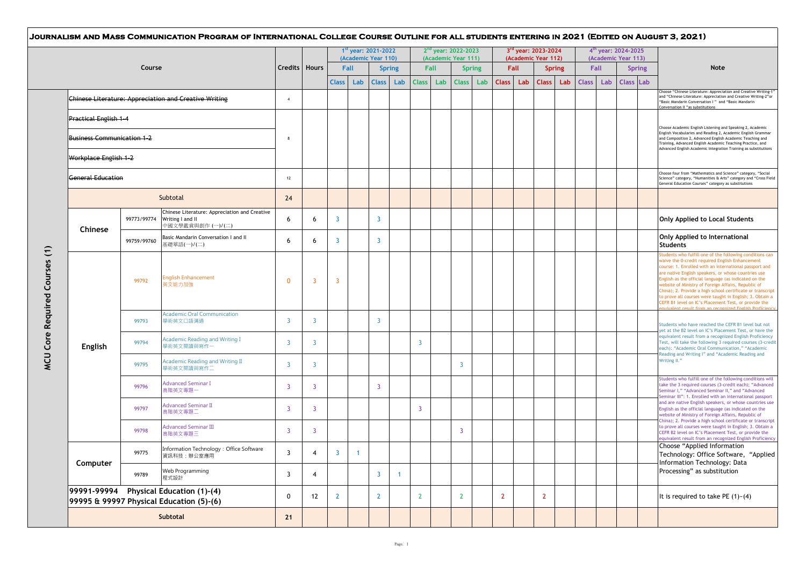|                                                   |             |                                                                                        |                |                 |                | 1st year: 2021-2022<br>(Academic Year 110) |                         |                      |                      |     | 2 <sup>nd</sup> year: 2022-2023<br>(Academic Year 111) |                      |              | 3 <sup>rd</sup> year: 2023-2024<br>(Academic Year 112) |                |                      |              | 4 <sup>th</sup> year: 2024-2025<br>(Academic Year 113) |              |                                                                                                                                                                                          |                                                                                                                                                                                                                                                                                                                                                                                                                                                                                                                                                                                |
|---------------------------------------------------|-------------|----------------------------------------------------------------------------------------|----------------|-----------------|----------------|--------------------------------------------|-------------------------|----------------------|----------------------|-----|--------------------------------------------------------|----------------------|--------------|--------------------------------------------------------|----------------|----------------------|--------------|--------------------------------------------------------|--------------|------------------------------------------------------------------------------------------------------------------------------------------------------------------------------------------|--------------------------------------------------------------------------------------------------------------------------------------------------------------------------------------------------------------------------------------------------------------------------------------------------------------------------------------------------------------------------------------------------------------------------------------------------------------------------------------------------------------------------------------------------------------------------------|
|                                                   | Course      |                                                                                        |                | Credits   Hours | <b>Class</b>   | Fall<br>Lab                                | <b>Class</b>            | <b>Spring</b><br>Lab | Fall<br><b>Class</b> | Lab | <b>Class</b>                                           | <b>Spring</b><br>Lab | <b>Class</b> | Fall<br>Lab                                            | <b>Class</b>   | <b>Spring</b><br>Lab | <b>Class</b> | Fall<br>Lab                                            | <b>Class</b> | <b>Spring</b><br>Lab                                                                                                                                                                     | <b>Note</b>                                                                                                                                                                                                                                                                                                                                                                                                                                                                                                                                                                    |
|                                                   |             | <b>Chinese Literature: Appreciation and Creative Writing</b>                           | $\overline{4}$ |                 |                |                                            |                         |                      |                      |     |                                                        |                      |              |                                                        |                |                      |              |                                                        |              |                                                                                                                                                                                          | Choose "Chinese Literature: Appreciation and Creative Writing-1<br>and "Chinese Literature: Appreciation and Creative Writing-2"or<br>"Basic Mandarin Conversation I" and "Basic Mandarin<br>Conversation II "as substitutions                                                                                                                                                                                                                                                                                                                                                 |
| Practical English 1-4                             |             |                                                                                        |                |                 |                |                                            |                         |                      |                      |     |                                                        |                      |              |                                                        |                |                      |              |                                                        |              |                                                                                                                                                                                          | Choose Academic English Listening and Speaking 2, Academic                                                                                                                                                                                                                                                                                                                                                                                                                                                                                                                     |
| <b>Business Communication 1-2</b>                 |             |                                                                                        | 8              |                 |                |                                            |                         |                      |                      |     |                                                        |                      |              |                                                        |                |                      |              |                                                        |              |                                                                                                                                                                                          | English Vocabularies and Reading 2, Academic English Grammar<br>and Composition 2, Advanced English Academic Teaching and<br>Training, Advanced English Academic Teaching Practice, and<br>Advanced English Academic Integration Training as substitutions                                                                                                                                                                                                                                                                                                                     |
| Workplace English 1-2<br><b>General Education</b> |             |                                                                                        |                |                 |                |                                            |                         |                      |                      |     |                                                        |                      |              |                                                        |                |                      |              |                                                        |              |                                                                                                                                                                                          |                                                                                                                                                                                                                                                                                                                                                                                                                                                                                                                                                                                |
|                                                   |             | 12                                                                                     |                |                 |                |                                            |                         |                      |                      |     |                                                        |                      |              |                                                        |                |                      |              |                                                        |              | Choose four from "Mathematics and Science" category, "Social<br>Science" category, "Humanities & Arts" category and "Cross Field<br>General Education Courses" category as substitutions |                                                                                                                                                                                                                                                                                                                                                                                                                                                                                                                                                                                |
|                                                   |             | Subtotal                                                                               | 24             |                 |                |                                            |                         |                      |                      |     |                                                        |                      |              |                                                        |                |                      |              |                                                        |              |                                                                                                                                                                                          |                                                                                                                                                                                                                                                                                                                                                                                                                                                                                                                                                                                |
| Chinese                                           | 99773/99774 | Chinese Literature: Appreciation and Creative<br>Writing I and II<br>中國文學鑑賞與創作 (一)/(二) | 6              | 6               | 3              |                                            | $\overline{\mathbf{3}}$ |                      |                      |     |                                                        |                      |              |                                                        |                |                      |              |                                                        |              |                                                                                                                                                                                          | Only Applied to Local Students                                                                                                                                                                                                                                                                                                                                                                                                                                                                                                                                                 |
|                                                   | 99759/99760 | Basic Mandarin Conversation I and II<br>基礎華語(一)/(二)                                    | 6              | 6               | $\overline{3}$ |                                            | $\overline{3}$          |                      |                      |     |                                                        |                      |              |                                                        |                |                      |              |                                                        |              |                                                                                                                                                                                          | Only Applied to International<br><b>Students</b>                                                                                                                                                                                                                                                                                                                                                                                                                                                                                                                               |
|                                                   | 99792       | <b>English Enhancement</b><br>英文能力加強                                                   | $\Omega$       | 3               | 3              |                                            |                         |                      |                      |     |                                                        |                      |              |                                                        |                |                      |              |                                                        |              |                                                                                                                                                                                          | Students who fulfill one of the following conditions can<br>waive the 0-credit required English Enhancement<br>course: 1. Enrolled with an international passport and<br>are native English speakers, or whose countries use<br>English as the official language (as indicated on the<br>website of Ministry of Foreign Affairs, Republic of<br>China); 2. Provide a high school certificate or transcript<br>to prove all courses were taught in English; 3. Obtain a<br>CEFR B1 level on IC's Placement Test, or provide the<br>ivalent result from an recognized English Pr |
|                                                   | 99793       | <b>Academic Oral Communication</b><br>學術英文口語溝通                                         | -3             | 3               |                |                                            | $\overline{3}$          |                      |                      |     |                                                        |                      |              |                                                        |                |                      |              |                                                        |              |                                                                                                                                                                                          | Students who have reached the CEFR B1 level but not<br>yet at the B2 level on IC's Placement Test, or have the                                                                                                                                                                                                                                                                                                                                                                                                                                                                 |
| English                                           | 99794       | <b>Academic Reading and Writing I</b><br>學術英文閱讀與寫作一                                    | 3              | 3               |                |                                            |                         |                      | 3                    |     |                                                        |                      |              |                                                        |                |                      |              |                                                        |              |                                                                                                                                                                                          | equivalent result from a recognized English Proficiency<br>Test, will take the following 3 required courses (3-credit<br>each): "Academic Oral Communication," "Academic                                                                                                                                                                                                                                                                                                                                                                                                       |
|                                                   | 99795       | Academic Reading and Writing II<br>學術英文閱讀與寫作二                                          | -3             | 3               |                |                                            |                         |                      |                      |     | 3                                                      |                      |              |                                                        |                |                      |              |                                                        |              |                                                                                                                                                                                          | Reading and Writing I" and "Academic Reading and<br>Writing II."                                                                                                                                                                                                                                                                                                                                                                                                                                                                                                               |
|                                                   | 99796       | <b>Advanced Seminar I</b><br>高階英文專題一                                                   | -3             | 3               |                |                                            | 3                       |                      |                      |     |                                                        |                      |              |                                                        |                |                      |              |                                                        |              |                                                                                                                                                                                          | Students who fulfill one of the following conditions will<br>take the 3 required courses (3-credit each); "Advanced<br>Seminar I," "Advanced Seminar II," and "Advanced                                                                                                                                                                                                                                                                                                                                                                                                        |
|                                                   | 99797       | <b>Advanced Seminar II</b><br>高階英文專題二                                                  | -3             | 3               |                |                                            |                         |                      | $\overline{3}$       |     |                                                        |                      |              |                                                        |                |                      |              |                                                        |              |                                                                                                                                                                                          | Seminar III": 1. Enrolled with an international passport<br>and are native English speakers, or whose countries use<br>English as the official language (as indicated on the<br>website of Ministry of Foreign Affairs, Republic of                                                                                                                                                                                                                                                                                                                                            |
|                                                   | 99798       | <b>Advanced Seminar III</b><br>高階英文專題三                                                 | $\overline{3}$ | $\overline{3}$  |                |                                            |                         |                      |                      |     | 3                                                      |                      |              |                                                        |                |                      |              |                                                        |              |                                                                                                                                                                                          | China); 2. Provide a high school certificate or transcript<br>to prove all courses were taught in English; 3. Obtain a<br>CEFR B2 level on IC's Placement Test, or provide the<br>equivalent result from an recognized English Proficiency                                                                                                                                                                                                                                                                                                                                     |
|                                                   | 99775       | Information Technology: Office Software<br>資訊科技:辦公室應用                                  | 3              | 4               | $\overline{3}$ | $\mathbf{1}$                               |                         |                      |                      |     |                                                        |                      |              |                                                        |                |                      |              |                                                        |              |                                                                                                                                                                                          | Choose "Applied Information<br>Technology: Office Software, "Applied<br>Information Technology: Data                                                                                                                                                                                                                                                                                                                                                                                                                                                                           |
| Computer                                          | 99789       | Web Programming<br>程式設計                                                                | 3              | 4               |                |                                            | $\overline{3}$          | $\blacktriangleleft$ |                      |     |                                                        |                      |              |                                                        |                |                      |              |                                                        |              |                                                                                                                                                                                          | Processing" as substitution                                                                                                                                                                                                                                                                                                                                                                                                                                                                                                                                                    |
| 99991-99994                                       |             | <b>Physical Education (1)-(4)</b><br>99995 & 99997 Physical Education (5)-(6)          | $\Omega$       | 12              | $\overline{2}$ |                                            | $\overline{2}$          |                      | $\overline{2}$       |     | $2^{\circ}$                                            |                      | $\mathbf{2}$ |                                                        | $\overline{2}$ |                      |              |                                                        |              |                                                                                                                                                                                          | It is required to take PE $(1)$ - $(4)$                                                                                                                                                                                                                                                                                                                                                                                                                                                                                                                                        |
|                                                   |             | Subtotal                                                                               | 21             |                 |                |                                            |                         |                      |                      |     |                                                        |                      |              |                                                        |                |                      |              |                                                        |              |                                                                                                                                                                                          |                                                                                                                                                                                                                                                                                                                                                                                                                                                                                                                                                                                |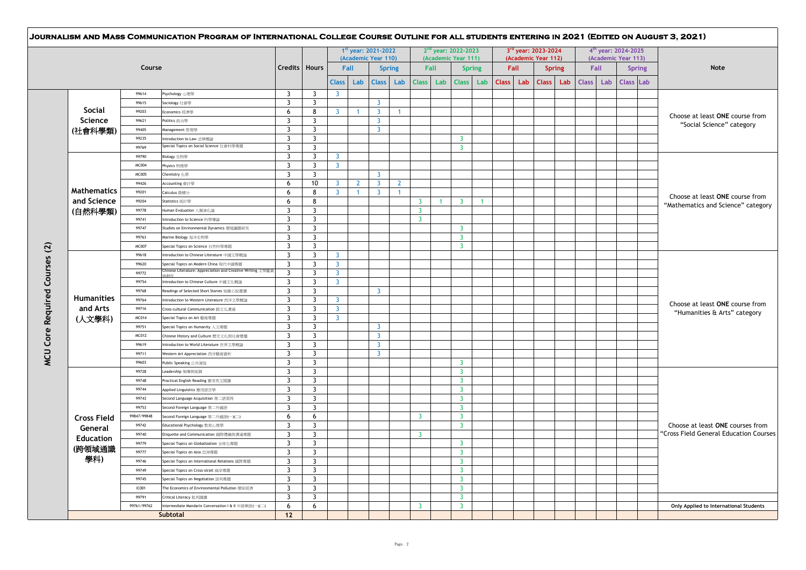|                    |              |                                                            |                         |                         |                |                | 1st year: 2021-2022<br>(Academic Year 110) |                      |                |              | 2 <sup>nd</sup> year: 2022-2023<br>(Academic Year 111) |               |              |      | 3rd year: 2023-2024<br>(Academic Year 112) |     |              |      | 4 <sup>th</sup> year: 2024-2025<br>(Academic Year 113) |               |                                                                       |
|--------------------|--------------|------------------------------------------------------------|-------------------------|-------------------------|----------------|----------------|--------------------------------------------|----------------------|----------------|--------------|--------------------------------------------------------|---------------|--------------|------|--------------------------------------------|-----|--------------|------|--------------------------------------------------------|---------------|-----------------------------------------------------------------------|
|                    | Course       |                                                            | Credits   Hours         |                         | Fall           |                |                                            | <b>Spring</b>        |                | Fall         |                                                        | <b>Spring</b> |              | Fall | <b>Spring</b>                              |     |              | Fall |                                                        | <b>Spring</b> | <b>Note</b>                                                           |
|                    |              |                                                            |                         |                         | <b>Class</b>   | Lab            | <b>Class</b>                               | Lab                  | <b>Class</b>   | Lab          | <b>Class</b>                                           | Lab           | <b>Class</b> | Lab  | <b>Class</b>                               | Lab | <b>Class</b> | Lab  | <b>Class</b> Lab                                       |               |                                                                       |
|                    | 99614        | Psychology 心理學                                             | 3                       | $\overline{3}$          | $\overline{3}$ |                |                                            |                      |                |              |                                                        |               |              |      |                                            |     |              |      |                                                        |               |                                                                       |
|                    | 99615        | Sociology 社會學                                              | 3                       | $\overline{3}$          |                |                | $\overline{3}$                             |                      |                |              |                                                        |               |              |      |                                            |     |              |      |                                                        |               |                                                                       |
| <b>Social</b>      | 99203        | Economics 經濟學                                              | 6                       | 8                       | $\overline{3}$ | $\mathbf{1}$   | $\overline{3}$                             | $\mathbf{1}$         |                |              |                                                        |               |              |      |                                            |     |              |      |                                                        |               | Choose at least ONE course from                                       |
| Science            | 99621        | Politics 政治學                                               | 3                       | $\overline{3}$          |                |                | $\mathbf{3}$                               |                      |                |              |                                                        |               |              |      |                                            |     |              |      |                                                        |               | "Social Science" category                                             |
| (社會科學類)            | 99405        | Management 管理學                                             | $\overline{3}$          | $\overline{3}$          |                |                | $\overline{3}$                             |                      |                |              |                                                        |               |              |      |                                            |     |              |      |                                                        |               |                                                                       |
|                    | 99235        | Introduction to Law 法律概論                                   | 3                       | $\overline{3}$          |                |                |                                            |                      |                |              | 3                                                      |               |              |      |                                            |     |              |      |                                                        |               |                                                                       |
|                    | 99769        | Special Topics on Social Science 社會科學專題                    | $\overline{\mathbf{3}}$ | $\overline{3}$          |                |                |                                            |                      |                |              | 3                                                      |               |              |      |                                            |     |              |      |                                                        |               |                                                                       |
|                    | 99790        | Biology 生物學                                                | 3                       | $\overline{3}$          | $\overline{3}$ |                |                                            |                      |                |              |                                                        |               |              |      |                                            |     |              |      |                                                        |               |                                                                       |
|                    | MC004        | Physics 物理學                                                | $\overline{3}$          | $\overline{3}$          | $\overline{3}$ |                |                                            |                      |                |              |                                                        |               |              |      |                                            |     |              |      |                                                        |               |                                                                       |
|                    | MC005        | Chemistry 化學                                               | 3                       | $\overline{3}$          |                |                | $\overline{3}$                             |                      |                |              |                                                        |               |              |      |                                            |     |              |      |                                                        |               | Choose at least ONE course from<br>"Mathematics and Science" category |
|                    | 99426        | Accounting 會計學                                             | 6                       | 10                      | $\overline{3}$ | $\overline{2}$ | $\overline{3}$                             | $\overline{2}$       |                |              |                                                        |               |              |      |                                            |     |              |      |                                                        |               |                                                                       |
| <b>Mathematics</b> | 99201        | Calculus 微積分                                               | 6                       | 8                       | $\overline{3}$ | $\mathbf{1}$   | $\overline{3}$                             | $\blacktriangleleft$ |                |              |                                                        |               |              |      |                                            |     |              |      |                                                        |               |                                                                       |
| and Science        | 99204        | Statistics 統計學                                             | 6                       | 8                       |                |                |                                            |                      | $\overline{3}$ | $\mathbf{1}$ | $\overline{3}$                                         | $\mathbf{1}$  |              |      |                                            |     |              |      |                                                        |               |                                                                       |
| (自然科學類)            | 99778        | Human Evoluation 人類演化論                                     | 3                       | $\overline{3}$          |                |                |                                            |                      | $\overline{3}$ |              |                                                        |               |              |      |                                            |     |              |      |                                                        |               |                                                                       |
|                    | 99741        | Introduction to Science 科學導論                               | 3                       | $\overline{3}$          |                |                |                                            |                      | $\overline{3}$ |              |                                                        |               |              |      |                                            |     |              |      |                                                        |               |                                                                       |
|                    | 99747        | Studies on Environmental Dynamics 環境議題研究                   | $\overline{3}$          | $\overline{3}$          |                |                |                                            |                      |                |              | $\overline{3}$                                         |               |              |      |                                            |     |              |      |                                                        |               |                                                                       |
|                    | 99763        | Marine Biology 海洋生物學                                       | $\overline{3}$          | $\overline{3}$          |                |                |                                            |                      |                |              | $\overline{3}$                                         |               |              |      |                                            |     |              |      |                                                        |               |                                                                       |
|                    | <b>MC007</b> | Special Topics on Science 自然科學專題                           | $\overline{\mathbf{3}}$ | $\overline{3}$          |                |                |                                            |                      |                |              | 3                                                      |               |              |      |                                            |     |              |      |                                                        |               |                                                                       |
|                    | 99618        | Introduction to Chinese Literature 中國文學概論                  | 3                       | 3                       | 3              |                |                                            |                      |                |              |                                                        |               |              |      |                                            |     |              |      |                                                        |               |                                                                       |
|                    | 99620        | Special Topics on Modern China 現代中國專題                      | $\overline{3}$          | $\overline{3}$          | $\overline{3}$ |                |                                            |                      |                |              |                                                        |               |              |      |                                            |     |              |      |                                                        |               |                                                                       |
|                    | 99772        | Chinese Literature: Appreciation and Creative Writing 文學鑑賞 | 3                       | $\overline{3}$          | $\overline{3}$ |                |                                            |                      |                |              |                                                        |               |              |      |                                            |     |              |      |                                                        |               |                                                                       |
|                    | 99754        | Introduction to Chinese Culture 中國文化概論                     | $\overline{3}$          | $\overline{3}$          | $\overline{3}$ |                |                                            |                      |                |              |                                                        |               |              |      |                                            |     |              |      |                                                        |               |                                                                       |
|                    | 99768        | Readings of Selected Short Stories 短篇小說選讀                  | $\overline{3}$          | $\overline{3}$          |                |                | $\overline{3}$                             |                      |                |              |                                                        |               |              |      |                                            |     |              |      |                                                        |               |                                                                       |
| <b>Humanities</b>  | 99764        | Introduction to Western Literature 西洋文學概論                  | $\overline{\mathbf{3}}$ | $\overline{3}$          | $\overline{3}$ |                |                                            |                      |                |              |                                                        |               |              |      |                                            |     |              |      |                                                        |               | Choose at least ONE course from<br>"Humanities & Arts" category       |
| and Arts           | 99716        | Cross-cultural Communication 跨文化溝通                         | 3                       | 3                       | $\overline{3}$ |                |                                            |                      |                |              |                                                        |               |              |      |                                            |     |              |      |                                                        |               |                                                                       |
| (人文學科)             | MC014        | Special Topics on Art 慈術惠頸                                 | 3                       | $\overline{\mathbf{3}}$ | $\overline{3}$ |                |                                            |                      |                |              |                                                        |               |              |      |                                            |     |              |      |                                                        |               |                                                                       |
|                    | 99751        | Special Topics on Humanity 人文專題                            | $\overline{3}$          | $\overline{3}$          |                |                | $\overline{3}$                             |                      |                |              |                                                        |               |              |      |                                            |     |              |      |                                                        |               |                                                                       |
|                    | MC012        | Chinese History and Culture 歷史文化與社會變遷                      | 3                       | $\overline{3}$          |                |                | $\overline{3}$                             |                      |                |              |                                                        |               |              |      |                                            |     |              |      |                                                        |               |                                                                       |
|                    | 99619        | Introduction to World Literature 世界文學概論                    | 3                       | $\overline{3}$          |                |                | $\overline{3}$                             |                      |                |              |                                                        |               |              |      |                                            |     |              |      |                                                        |               |                                                                       |
|                    | 99711        | Western Art Appreciation 西洋藝術賞析                            | 3                       | $\overline{3}$          |                |                | $\overline{3}$                             |                      |                |              |                                                        |               |              |      |                                            |     |              |      |                                                        |               |                                                                       |
|                    | 99603        | Public Speaking 公共演說                                       | 3                       | $\overline{3}$          |                |                |                                            |                      |                |              | 3                                                      |               |              |      |                                            |     |              |      |                                                        |               |                                                                       |
|                    | 99728        | Leadership 領導與統御                                           | 3                       | $\overline{3}$          |                |                |                                            |                      |                |              | 3                                                      |               |              |      |                                            |     |              |      |                                                        |               |                                                                       |
|                    | 99748        | Practical English Reading 實用英文閱讀                           | 3                       | 3                       |                |                |                                            |                      |                |              | $\overline{3}$                                         |               |              |      |                                            |     |              |      |                                                        |               |                                                                       |
|                    | 99744        | Applied Linguistics 應用語言學                                  | $\overline{3}$          | $\overline{3}$          |                |                |                                            |                      |                |              | $\overline{3}$                                         |               |              |      |                                            |     |              |      |                                                        |               |                                                                       |
|                    | 99743        | Second Language Acquisition 第二語習得                          | 3                       | $\overline{3}$          |                |                |                                            |                      |                |              | $\overline{3}$                                         |               |              |      |                                            |     |              |      |                                                        |               |                                                                       |
|                    | 99753        | Second Foreign Language 第二外國語                              | 3                       | $\overline{3}$          |                |                |                                            |                      |                |              | $\overline{3}$                                         |               |              |      |                                            |     |              |      |                                                        |               |                                                                       |
| <b>Cross Field</b> | 99847/99848  | Second Foreign Language 第二外國語(一)(二)                        | 6                       | 6                       |                |                |                                            |                      | 3              |              | $\overline{3}$                                         |               |              |      |                                            |     |              |      |                                                        |               |                                                                       |
| General            | 99742        | Educational Psychology 教育心理學                               | 3                       | $\overline{3}$          |                |                |                                            |                      |                |              | $\overline{3}$                                         |               |              |      |                                            |     |              |      |                                                        |               | Choose at least ONE courses from                                      |
| <b>Education</b>   | 99740        | Etiquette and Communication 國際禮儀與溝通專題                      | 3                       | $\overline{3}$          |                |                |                                            |                      | $\overline{3}$ |              |                                                        |               |              |      |                                            |     |              |      |                                                        |               | "Cross Field General Education Courses                                |
| (跨領域通識             | 99779        | Special Topics on Globalization 全球化專題                      | $\overline{3}$          | $\overline{3}$          |                |                |                                            |                      |                |              | $\overline{3}$                                         |               |              |      |                                            |     |              |      |                                                        |               |                                                                       |
|                    | 99777        | Special Topics on Asia 亞洲專題                                | 3                       | $\overline{3}$          |                |                |                                            |                      |                |              | $\overline{3}$                                         |               |              |      |                                            |     |              |      |                                                        |               |                                                                       |
| 學科)                | 99746        | Special Topics on International Relations 國際專題             | $\overline{3}$          | $\overline{3}$          |                |                |                                            |                      |                |              | $\overline{3}$                                         |               |              |      |                                            |     |              |      |                                                        |               |                                                                       |
|                    | 99749        | Special Topics on Cross-strait 兩岸專題                        | 3                       | $\overline{3}$          |                |                |                                            |                      |                |              | -3                                                     |               |              |      |                                            |     |              |      |                                                        |               |                                                                       |
|                    | 99745        | Special Topics on Negotiation 談判專題                         | 3                       | 3                       |                |                |                                            |                      |                |              | $\overline{3}$                                         |               |              |      |                                            |     |              |      |                                                        |               |                                                                       |
|                    | IC001        | The Economics of Environmental Pollution 環保經濟              | 3                       | $\overline{3}$          |                |                |                                            |                      |                |              | $\overline{3}$                                         |               |              |      |                                            |     |              |      |                                                        |               |                                                                       |
|                    | 99791        | iritical Literacy 批判識讀                                     | 3                       | 3                       |                |                |                                            |                      |                |              | $\overline{3}$                                         |               |              |      |                                            |     |              |      |                                                        |               |                                                                       |
|                    | 99761/99762  | Intermediate Mandarin Conversation   & II 中級華語(一)(二)       | 6                       | 6                       |                |                |                                            |                      | $\overline{3}$ |              | $\overline{3}$                                         |               |              |      |                                            |     |              |      |                                                        |               | Only Applied to International Students                                |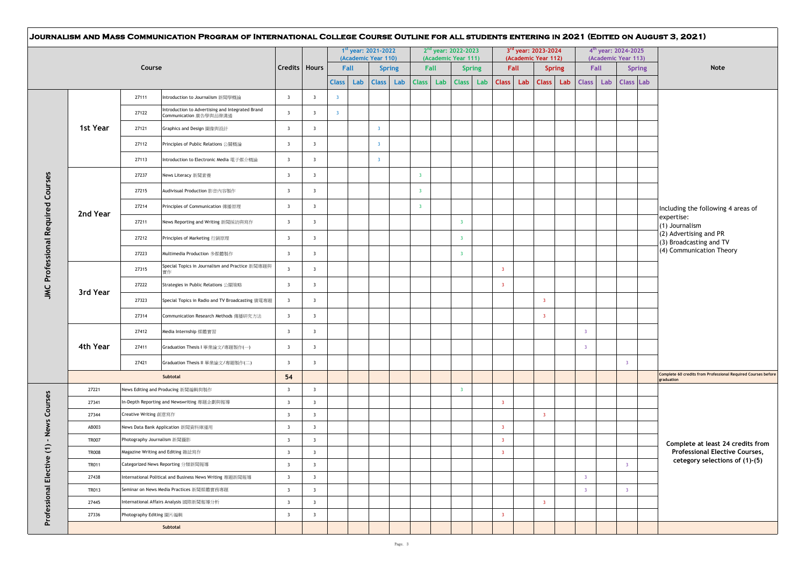|  |              |                                                                                     |                         |                         |                         | $1st$ year: 2021-2022<br>(Academic Year 110) |                         |                      |                         |             | 2 <sup>nd</sup> year: 2022-2023<br>(Academic Year 111) |                         |             | 3rd year: 2023-2024<br>(Academic Year 112) |                      |                         |                   | $4^{th}$ year: 2024-2025<br>(Academic Year 113) |               |                                                                             |  |
|--|--------------|-------------------------------------------------------------------------------------|-------------------------|-------------------------|-------------------------|----------------------------------------------|-------------------------|----------------------|-------------------------|-------------|--------------------------------------------------------|-------------------------|-------------|--------------------------------------------|----------------------|-------------------------|-------------------|-------------------------------------------------|---------------|-----------------------------------------------------------------------------|--|
|  |              | Course                                                                              |                         | Credits   Hours         | <b>Class</b>            | Fall<br>Lab                                  | <b>Class</b>            | <b>Spring</b><br>Lab | <b>Class</b>            | Fall<br>Lab | <b>Spring</b><br>Class Lab                             | <b>Class</b>            | Fall<br>Lab | <b>Class</b>                               | <b>Spring</b><br>Lab |                         | Fall<br>Class Lab | Class Lab                                       | <b>Spring</b> | Note                                                                        |  |
|  |              | 27111<br>Introduction to Journalism 新聞學概論                                           | $\overline{\mathbf{3}}$ | $\overline{\mathbf{3}}$ | $\overline{3}$          |                                              |                         |                      |                         |             |                                                        |                         |             |                                            |                      |                         |                   |                                                 |               |                                                                             |  |
|  |              | Introduction to Advertising and Integrated Brand<br>27122<br>Communication 廣告學與品牌溝通 | $\overline{\mathbf{3}}$ | $\overline{\mathbf{3}}$ | $\overline{\mathbf{3}}$ |                                              |                         |                      |                         |             |                                                        |                         |             |                                            |                      |                         |                   |                                                 |               |                                                                             |  |
|  | 1st Year     | 27121<br>Graphics and Design 圖像與設計                                                  | $\overline{\mathbf{3}}$ | $\overline{\mathbf{3}}$ |                         |                                              | $\overline{3}$          |                      |                         |             |                                                        |                         |             |                                            |                      |                         |                   |                                                 |               |                                                                             |  |
|  |              | 27112<br>Principles of Public Relations 公開概論                                        | $\overline{\mathbf{3}}$ | $\overline{\mathbf{3}}$ |                         |                                              | $\overline{\mathbf{3}}$ |                      |                         |             |                                                        |                         |             |                                            |                      |                         |                   |                                                 |               |                                                                             |  |
|  |              | 27113<br>Introduction to Electronic Media 電子媒介概論                                    | $\overline{\mathbf{3}}$ | $\overline{\mathbf{3}}$ |                         |                                              | $\overline{\mathbf{3}}$ |                      |                         |             |                                                        |                         |             |                                            |                      |                         |                   |                                                 |               |                                                                             |  |
|  |              | 27237<br>News Literacy 新聞素養                                                         | $\overline{\mathbf{3}}$ | $\overline{\mathbf{3}}$ |                         |                                              |                         |                      | $\overline{\mathbf{3}}$ |             |                                                        |                         |             |                                            |                      |                         |                   |                                                 |               |                                                                             |  |
|  |              | 27215<br>Audivisual Production 影音内容製作                                               | $\overline{\mathbf{3}}$ | $\overline{\mathbf{3}}$ |                         |                                              |                         |                      | $\overline{\mathbf{3}}$ |             |                                                        |                         |             |                                            |                      |                         |                   |                                                 |               |                                                                             |  |
|  |              | 27214<br>Principles of Communication 傳播原理                                           | $\overline{\mathbf{3}}$ | $\overline{\mathbf{3}}$ |                         |                                              |                         |                      | $\overline{3}$          |             |                                                        |                         |             |                                            |                      |                         |                   |                                                 |               | Including the following 4 areas of                                          |  |
|  | 2nd Year     | 27211<br>News Reporting and Writing 新聞採訪與寫作                                         | $\overline{\mathbf{3}}$ | $\overline{\mathbf{3}}$ |                         |                                              |                         |                      |                         |             | $\overline{\mathbf{3}}$                                |                         |             |                                            |                      |                         |                   |                                                 |               | expertise:<br>(1) Journalism                                                |  |
|  |              | 27212<br>Principles of Marketing 行銷原理                                               | $\overline{\mathbf{3}}$ | $\overline{\mathbf{3}}$ |                         |                                              |                         |                      |                         |             | $\overline{\mathbf{3}}$                                |                         |             |                                            |                      |                         |                   |                                                 |               | (2) Advertising and PR                                                      |  |
|  |              | 27223<br>Multimedia Production 多媒體製作                                                | $\overline{\mathbf{3}}$ | $\overline{\mathbf{3}}$ |                         |                                              |                         |                      |                         |             | $\overline{\mathbf{3}}$                                |                         |             |                                            |                      |                         |                   |                                                 |               | (3) Broadcasting and TV<br>(4) Communication Theory                         |  |
|  |              | Special Topics in Journalism and Practice 新聞專題與<br>27315                            | $\overline{\mathbf{3}}$ | $\overline{\mathbf{3}}$ |                         |                                              |                         |                      |                         |             |                                                        | $\overline{\mathbf{3}}$ |             |                                            |                      |                         |                   |                                                 |               |                                                                             |  |
|  |              | 實作<br>27222<br>Strategies in Public Relations 公開策略                                  | $\overline{\mathbf{3}}$ | $\overline{\mathbf{3}}$ |                         |                                              |                         |                      |                         |             |                                                        | $\overline{\mathbf{3}}$ |             |                                            |                      |                         |                   |                                                 |               |                                                                             |  |
|  | 3rd Year     | 27323<br>Special Topics in Radio and TV Broadcasting 廣電專題                           | $\overline{\mathbf{3}}$ | $\overline{\mathbf{3}}$ |                         |                                              |                         |                      |                         |             |                                                        |                         |             | $\overline{3}$                             |                      |                         |                   |                                                 |               |                                                                             |  |
|  |              | 27314<br>Communication Research Methods 傳播研究方法                                      | $\overline{\mathbf{3}}$ | $\overline{\mathbf{3}}$ |                         |                                              |                         |                      |                         |             |                                                        |                         |             | $\overline{\mathbf{3}}$                    |                      |                         |                   |                                                 |               |                                                                             |  |
|  |              | 27412<br>Media Internship 媒體實習                                                      | $\overline{\mathbf{3}}$ | $\overline{\mathbf{3}}$ |                         |                                              |                         |                      |                         |             |                                                        |                         |             |                                            |                      | $\overline{\mathbf{3}}$ |                   |                                                 |               |                                                                             |  |
|  | 4th Year     | 27411<br>Graduation Thesis I 畢業論文/專題製作(一)                                           | $\overline{\mathbf{3}}$ | $\overline{\mathbf{3}}$ |                         |                                              |                         |                      |                         |             |                                                        |                         |             |                                            |                      | $\overline{\mathbf{3}}$ |                   |                                                 |               |                                                                             |  |
|  |              | 27421<br>Graduation Thesis II 畢業論文/專題製作(二)                                          | $\overline{\mathbf{3}}$ | $\overline{\mathbf{3}}$ |                         |                                              |                         |                      |                         |             |                                                        |                         |             |                                            |                      |                         |                   | $\overline{\mathbf{3}}$                         |               |                                                                             |  |
|  |              | Subtotal                                                                            | 54                      |                         |                         |                                              |                         |                      |                         |             |                                                        |                         |             |                                            |                      |                         |                   |                                                 |               | Complete 60 credits from Professional Required Courses before<br>graduation |  |
|  | 27221        | News Editing and Producing 新聞編輯與製作                                                  | $\overline{\mathbf{3}}$ | $\overline{\mathbf{3}}$ |                         |                                              |                         |                      |                         |             | $\overline{\mathbf{3}}$                                |                         |             |                                            |                      |                         |                   |                                                 |               |                                                                             |  |
|  | 27341        | In-Depth Reporting and Newswriting 專題企劃與報導                                          | $\overline{\mathbf{3}}$ | $\overline{\mathbf{3}}$ |                         |                                              |                         |                      |                         |             |                                                        | $\overline{\mathbf{3}}$ |             |                                            |                      |                         |                   |                                                 |               |                                                                             |  |
|  | 27344        | Creative Writing 創意寫作                                                               | $\overline{\mathbf{3}}$ | $\overline{\mathbf{3}}$ |                         |                                              |                         |                      |                         |             |                                                        |                         |             | $\overline{3}$                             |                      |                         |                   |                                                 |               |                                                                             |  |
|  | AB003        | News Data Bank Application 新聞資料庫運用                                                  | $\overline{\mathbf{3}}$ | $\overline{\mathbf{3}}$ |                         |                                              |                         |                      |                         |             |                                                        | $\overline{\mathbf{3}}$ |             |                                            |                      |                         |                   |                                                 |               |                                                                             |  |
|  | <b>TR007</b> | Photography Journalism 新聞攝影                                                         | $\overline{\mathbf{3}}$ | $\overline{\mathbf{3}}$ |                         |                                              |                         |                      |                         |             |                                                        | $\overline{\mathbf{3}}$ |             |                                            |                      |                         |                   |                                                 |               | Complete at least 24 credits from                                           |  |
|  | <b>TR008</b> | Magazine Writing and Editing 雜誌寫作                                                   | $\overline{\mathbf{3}}$ | $\overline{\mathbf{3}}$ |                         |                                              |                         |                      |                         |             |                                                        | $\overline{\mathbf{3}}$ |             |                                            |                      |                         |                   |                                                 |               | <b>Professional Elective Courses,</b>                                       |  |
|  | <b>TR011</b> | Categorized News Reporting 分類新聞報導                                                   | $\overline{\mathbf{3}}$ | $\overline{\mathbf{3}}$ |                         |                                              |                         |                      |                         |             |                                                        |                         |             |                                            |                      |                         |                   | $\overline{\mathbf{3}}$                         |               | cetegory selections of (1)-(5)                                              |  |
|  | 27438        | International Political and Business News Writing 專題新聞報導                            | $\overline{\mathbf{3}}$ | $\overline{\mathbf{3}}$ |                         |                                              |                         |                      |                         |             |                                                        |                         |             |                                            |                      | $\overline{\mathbf{3}}$ |                   |                                                 |               |                                                                             |  |
|  | TR013        | Seminar on News Media Practices 新聞媒體實務專題                                            | $\overline{\mathbf{3}}$ | $\overline{\mathbf{3}}$ |                         |                                              |                         |                      |                         |             |                                                        |                         |             |                                            |                      | $\overline{\mathbf{3}}$ |                   | $\overline{\mathbf{3}}$                         |               |                                                                             |  |
|  | 27445        | International Affairs Analysis 國際新聞報導分析                                             | $\overline{\mathbf{3}}$ | $\overline{\mathbf{3}}$ |                         |                                              |                         |                      |                         |             |                                                        |                         |             | $\overline{\mathbf{3}}$                    |                      |                         |                   |                                                 |               |                                                                             |  |
|  | 27336        | Photography Editing 圖片編輯                                                            | $\overline{\mathbf{3}}$ | $\overline{\mathbf{3}}$ |                         |                                              |                         |                      |                         |             |                                                        | $\overline{\mathbf{3}}$ |             |                                            |                      |                         |                   |                                                 |               |                                                                             |  |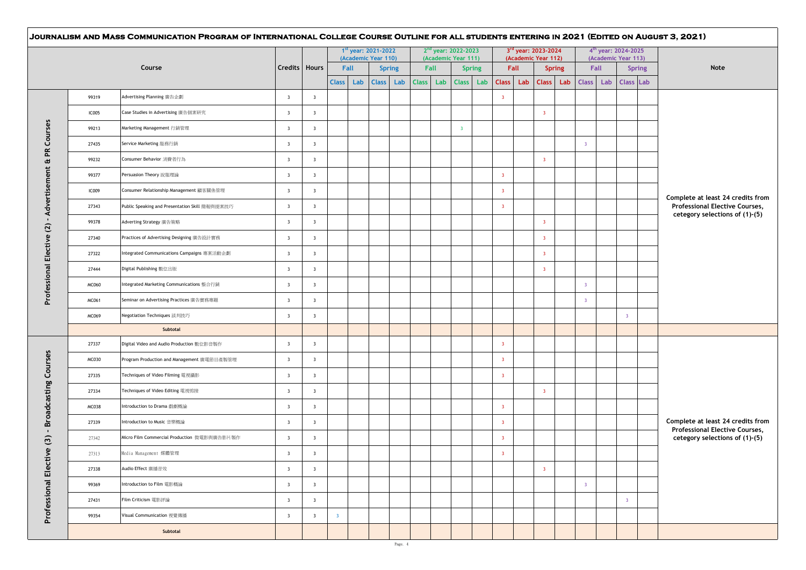|              |                                                |                         |                         |                         | $1st$ year: 2021-2022<br>(Academic Year 110) |     |           | 2 <sup>nd</sup> year: 2022-2023<br>(Academic Year 111) |               |                         | 3rd year: 2023-2024<br>(Academic Year 112) |                         |     |                         | 4 <sup>th</sup> year: 2024-2025<br>(Academic Year 113) |               |                                                                            |
|--------------|------------------------------------------------|-------------------------|-------------------------|-------------------------|----------------------------------------------|-----|-----------|--------------------------------------------------------|---------------|-------------------------|--------------------------------------------|-------------------------|-----|-------------------------|--------------------------------------------------------|---------------|----------------------------------------------------------------------------|
|              | Course                                         | Credits   Hours         |                         | Fall                    | <b>Spring</b>                                |     | Fall      |                                                        | <b>Spring</b> |                         | Fall                                       | <b>Spring</b>           |     | Fall                    |                                                        | <b>Spring</b> | Note                                                                       |
|              |                                                |                         |                         | <b>Class</b><br>Lab     | <b>Class</b>                                 | Lab | Class Lab |                                                        | Class Lab     | Class Lab               |                                            | <b>Class</b>            | Lab | Class Lab               | Class Lab                                              |               |                                                                            |
| 99319        | Advertising Planning 廣告企劃                      | $\overline{\mathbf{3}}$ | $\overline{\mathbf{3}}$ |                         |                                              |     |           |                                                        |               | $\overline{\mathbf{3}}$ |                                            |                         |     |                         |                                                        |               |                                                                            |
| <b>IC005</b> | Case Studies in Advertising 廣告個案研究             | $\overline{\mathbf{3}}$ | $\overline{\mathbf{3}}$ |                         |                                              |     |           |                                                        |               |                         |                                            | $\overline{\mathbf{3}}$ |     |                         |                                                        |               |                                                                            |
| 99213        | Marketing Management 行銷管理                      | $\overline{\mathbf{3}}$ | $\overline{\mathbf{3}}$ |                         |                                              |     |           | $\overline{\mathbf{3}}$                                |               |                         |                                            |                         |     |                         |                                                        |               |                                                                            |
| 27435        | Service Marketing 服務行銷                         | $\overline{\mathbf{3}}$ | $\overline{\mathbf{3}}$ |                         |                                              |     |           |                                                        |               |                         |                                            |                         |     | $\overline{\mathbf{3}}$ |                                                        |               |                                                                            |
| 99232        | Consumer Behavior 消費者行為                        | $\overline{\mathbf{3}}$ | $\overline{\mathbf{3}}$ |                         |                                              |     |           |                                                        |               |                         |                                            | $\overline{\mathbf{3}}$ |     |                         |                                                        |               |                                                                            |
| 99377        | Persuasion Theory 說服理論                         | $\overline{\mathbf{3}}$ | $\overline{\mathbf{3}}$ |                         |                                              |     |           |                                                        |               | $\overline{\mathbf{3}}$ |                                            |                         |     |                         |                                                        |               |                                                                            |
| <b>IC009</b> | Consumer Relationship Management 顧客關係管理        | $\overline{\mathbf{3}}$ | $\overline{\mathbf{3}}$ |                         |                                              |     |           |                                                        |               | $\overline{\mathbf{3}}$ |                                            |                         |     |                         |                                                        |               | Complete at least 24 credits from                                          |
| 27343        | Public Speaking and Presentation Skill 簡報與提案技巧 | $\overline{\mathbf{3}}$ | $\overline{\mathbf{3}}$ |                         |                                              |     |           |                                                        |               | $\overline{\mathbf{3}}$ |                                            |                         |     |                         |                                                        |               | Professional Elective Courses,<br>cetegory selections of (1)-(5)           |
| 99378        | Adverting Strategy 廣告策略                        | $\overline{\mathbf{3}}$ | $\overline{\mathbf{3}}$ |                         |                                              |     |           |                                                        |               |                         |                                            | $\overline{\mathbf{3}}$ |     |                         |                                                        |               |                                                                            |
| 27340        | Practices of Advertising Designing 廣告設計實務      | $\overline{\mathbf{3}}$ | $\overline{\mathbf{3}}$ |                         |                                              |     |           |                                                        |               |                         |                                            | $\overline{\mathbf{3}}$ |     |                         |                                                        |               |                                                                            |
| 27322        | Integrated Communications Campaigns 專案活動企劃     | $\overline{\mathbf{3}}$ | $\overline{\mathbf{3}}$ |                         |                                              |     |           |                                                        |               |                         |                                            | $\overline{\mathbf{3}}$ |     |                         |                                                        |               |                                                                            |
| 27444        | Digital Publishing 數位出版                        | $\overline{\mathbf{3}}$ | $\overline{\mathbf{3}}$ |                         |                                              |     |           |                                                        |               |                         |                                            | $\overline{\mathbf{3}}$ |     |                         |                                                        |               |                                                                            |
| <b>MC060</b> | Integrated Marketing Communications 整合行銷       | $\overline{\mathbf{3}}$ | $\overline{\mathbf{3}}$ |                         |                                              |     |           |                                                        |               |                         |                                            |                         |     | $\overline{\mathbf{3}}$ |                                                        |               |                                                                            |
| <b>MC061</b> | Seminar on Advertising Practices 廣告實務專題        | $\overline{\mathbf{3}}$ | $\overline{\mathbf{3}}$ |                         |                                              |     |           |                                                        |               |                         |                                            |                         |     | $\overline{3}$          |                                                        |               |                                                                            |
| MC069        | Negotiation Techniques 談判技巧                    | $\overline{\mathbf{3}}$ | $\overline{\mathbf{3}}$ |                         |                                              |     |           |                                                        |               |                         |                                            |                         |     |                         | $\overline{\mathbf{3}}$                                |               |                                                                            |
|              | Subtotal                                       |                         |                         |                         |                                              |     |           |                                                        |               |                         |                                            |                         |     |                         |                                                        |               |                                                                            |
| 27337        | Digital Video and Audio Production 數位影音製作      | $\overline{\mathbf{3}}$ | $\overline{\mathbf{3}}$ |                         |                                              |     |           |                                                        |               | $\overline{\mathbf{3}}$ |                                            |                         |     |                         |                                                        |               |                                                                            |
| <b>MC030</b> | Program Production and Management 廣電節目產製管理     | $\overline{\mathbf{3}}$ | $\overline{\mathbf{3}}$ |                         |                                              |     |           |                                                        |               | $\overline{\mathbf{3}}$ |                                            |                         |     |                         |                                                        |               |                                                                            |
| 27335        | Techniques of Video Filming 電視攝影               | $\overline{\mathbf{3}}$ | $\overline{\mathbf{3}}$ |                         |                                              |     |           |                                                        |               | $\overline{\mathbf{3}}$ |                                            |                         |     |                         |                                                        |               |                                                                            |
| 27334        | Techniques of Video Editing 電視剪接               | $\overline{\mathbf{3}}$ | $\overline{\mathbf{3}}$ |                         |                                              |     |           |                                                        |               |                         |                                            | $\overline{\mathbf{3}}$ |     |                         |                                                        |               |                                                                            |
| <b>MC038</b> | Introduction to Drama 戲劇概論                     | $\overline{\mathbf{3}}$ | $\overline{\mathbf{3}}$ |                         |                                              |     |           |                                                        |               | $\overline{\mathbf{3}}$ |                                            |                         |     |                         |                                                        |               |                                                                            |
| 27339        | Introduction to Music 音樂概論                     | $\overline{\mathbf{3}}$ | $\overline{\mathbf{3}}$ |                         |                                              |     |           |                                                        |               | $\overline{\mathbf{3}}$ |                                            |                         |     |                         |                                                        |               | Complete at least 24 credits from<br><b>Professional Elective Courses,</b> |
| 27342        | Micro Film Commercial Production 微電影與廣告影片製作    | $\overline{\mathbf{3}}$ | $\overline{\mathbf{3}}$ |                         |                                              |     |           |                                                        |               | $\overline{\mathbf{3}}$ |                                            |                         |     |                         |                                                        |               | cetegory selections of (1)-(5)                                             |
| 27313        | Media Management 媒體管理                          | $\overline{\mathbf{3}}$ | $\overline{\mathbf{3}}$ |                         |                                              |     |           |                                                        |               | $\overline{\mathbf{3}}$ |                                            |                         |     |                         |                                                        |               |                                                                            |
| 27338        | Audio Effect 廣播音效                              | $\overline{\mathbf{3}}$ | $\overline{\mathbf{3}}$ |                         |                                              |     |           |                                                        |               |                         |                                            | $\overline{\mathbf{3}}$ |     |                         |                                                        |               |                                                                            |
| 99369        | Introduction to Film 電影概論                      | $\overline{\mathbf{3}}$ | $\overline{\mathbf{3}}$ |                         |                                              |     |           |                                                        |               |                         |                                            |                         |     | -3                      |                                                        |               |                                                                            |
| 27431        | Film Criticism 電影評論                            | $\overline{\mathbf{3}}$ | $\overline{\mathbf{3}}$ |                         |                                              |     |           |                                                        |               |                         |                                            |                         |     |                         | $\overline{\mathbf{3}}$                                |               |                                                                            |
| 99354        | Visual Communication 視覺傳播                      | $\overline{\mathbf{3}}$ | $\overline{\mathbf{3}}$ | $\overline{\mathbf{3}}$ |                                              |     |           |                                                        |               |                         |                                            |                         |     |                         |                                                        |               |                                                                            |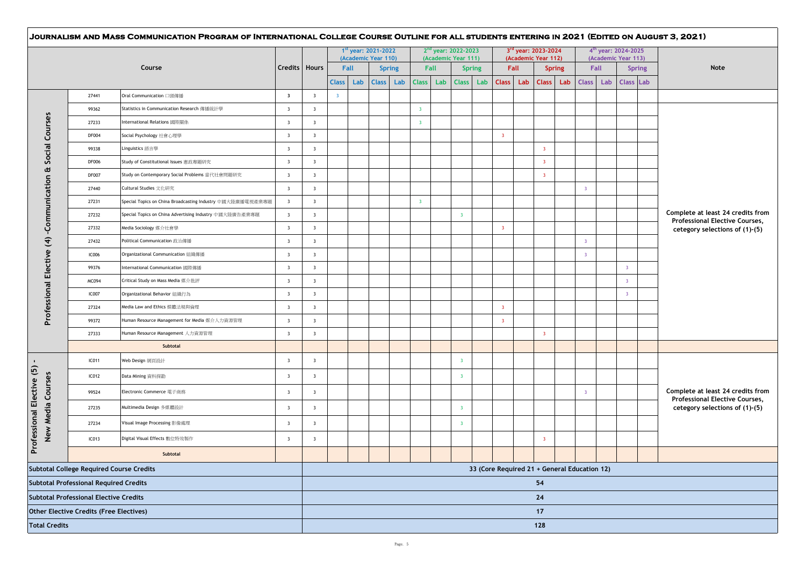|                      |                                                 |                                                            |                         |                         |                         |      | 1 <sup>st</sup> year: 2021-2022<br>(Academic Year 110) |               |  |                         | $2nd$ year: 2022-2023<br>(Academic Year 111) |                                              | 3rd year: 2023-2024<br>(Academic Year 112) |      |                         |               | 4 <sup>th</sup> year: 2024-2025<br>(Academic Year 113) |           |                |               |                                                                  |  |  |  |
|----------------------|-------------------------------------------------|------------------------------------------------------------|-------------------------|-------------------------|-------------------------|------|--------------------------------------------------------|---------------|--|-------------------------|----------------------------------------------|----------------------------------------------|--------------------------------------------|------|-------------------------|---------------|--------------------------------------------------------|-----------|----------------|---------------|------------------------------------------------------------------|--|--|--|
|                      |                                                 | Course                                                     | Credits   Hours         |                         |                         | Fall |                                                        | <b>Spring</b> |  | Fall                    |                                              | <b>Spring</b>                                |                                            | Fall |                         | <b>Spring</b> |                                                        | Fall      |                | <b>Spring</b> | Note                                                             |  |  |  |
|                      |                                                 |                                                            |                         |                         | <b>Class</b>            |      | Lab                                                    | Class Lab     |  | Class Lab               |                                              | Class Lab Class Lab                          |                                            |      | <b>Class</b>            | Lab           |                                                        | Class Lab | Class Lab      |               |                                                                  |  |  |  |
|                      | 27441                                           | Oral Communication 口頭傳播                                    | $\overline{\mathbf{3}}$ | $\overline{\mathbf{3}}$ | $\overline{\mathbf{3}}$ |      |                                                        |               |  |                         |                                              |                                              |                                            |      |                         |               |                                                        |           |                |               |                                                                  |  |  |  |
|                      | 99362                                           | Statistics in Communication Research 傳播統計學                 | $\overline{\mathbf{3}}$ | $\overline{\mathbf{3}}$ |                         |      |                                                        |               |  | $\overline{\mathbf{3}}$ |                                              |                                              |                                            |      |                         |               |                                                        |           |                |               |                                                                  |  |  |  |
|                      | 27233                                           | International Relations 國際關係                               | $\overline{\mathbf{3}}$ | $\overline{\mathbf{3}}$ |                         |      |                                                        |               |  | $\overline{\mathbf{3}}$ |                                              |                                              |                                            |      |                         |               |                                                        |           |                |               |                                                                  |  |  |  |
| Courses              | <b>DF004</b>                                    | Social Psychology 社會心理學                                    | $\overline{\mathbf{3}}$ | $\overline{\mathbf{3}}$ |                         |      |                                                        |               |  |                         |                                              |                                              | $\overline{\mathbf{3}}$                    |      |                         |               |                                                        |           |                |               |                                                                  |  |  |  |
| Social               | 99338                                           | Linguistics 語言學                                            | $\overline{\mathbf{3}}$ | $\overline{\mathbf{3}}$ |                         |      |                                                        |               |  |                         |                                              |                                              |                                            |      | $\overline{\mathbf{3}}$ |               |                                                        |           |                |               |                                                                  |  |  |  |
|                      | <b>DF006</b>                                    | Study of Constitutional Issues 憲政專題研究                      | $\overline{\mathbf{3}}$ | $\overline{\mathbf{3}}$ |                         |      |                                                        |               |  |                         |                                              |                                              |                                            |      | $\overline{\mathbf{3}}$ |               |                                                        |           |                |               |                                                                  |  |  |  |
| Œ                    | <b>DF007</b>                                    | Study on Contemporary Social Problems 當代社會問題研究             | $\overline{\mathbf{3}}$ | $\overline{\mathbf{3}}$ |                         |      |                                                        |               |  |                         |                                              |                                              |                                            |      | $\overline{\mathbf{3}}$ |               |                                                        |           |                |               |                                                                  |  |  |  |
| -Communication       | 27440                                           | Cultural Studies 文化研究                                      | $\overline{\mathbf{3}}$ | $\overline{\mathbf{3}}$ |                         |      |                                                        |               |  |                         |                                              |                                              |                                            |      |                         |               | $\overline{3}$                                         |           |                |               |                                                                  |  |  |  |
|                      | 27231                                           | Special Topics on China Broadcasting Industry 中國大陸廣播電視產業專題 | $\overline{\mathbf{3}}$ | $\overline{\mathbf{3}}$ |                         |      |                                                        |               |  | $\overline{\mathbf{3}}$ |                                              |                                              |                                            |      |                         |               |                                                        |           |                |               |                                                                  |  |  |  |
|                      | 27232                                           | Special Topics on China Advertising Industry 中國大陸廣告產業專題    | $\overline{\mathbf{3}}$ | $\overline{\mathbf{3}}$ |                         |      |                                                        |               |  |                         |                                              | $\overline{3}$                               |                                            |      |                         |               |                                                        |           |                |               | Complete at least 24 credits from                                |  |  |  |
|                      | 27332                                           | Media Sociology 媒介社會學                                      | $\overline{\mathbf{3}}$ | $\overline{\mathbf{3}}$ |                         |      |                                                        |               |  |                         |                                              |                                              | $\overline{\mathbf{3}}$                    |      |                         |               |                                                        |           |                |               | Professional Elective Courses,<br>cetegory selections of (1)-(5) |  |  |  |
| $\widehat{f}$        | 27432                                           | Political Communication 政治傳播                               | $\overline{\mathbf{3}}$ | $\overline{\mathbf{3}}$ |                         |      |                                                        |               |  |                         |                                              |                                              |                                            |      |                         |               | $\overline{\mathbf{3}}$                                |           |                |               |                                                                  |  |  |  |
|                      | <b>IC006</b>                                    | Organizational Communication 組織傳播                          | $\overline{\mathbf{3}}$ | $\overline{\mathbf{3}}$ |                         |      |                                                        |               |  |                         |                                              |                                              |                                            |      |                         |               | $\overline{\mathbf{3}}$                                |           |                |               |                                                                  |  |  |  |
| Elective             | 99376                                           | International Communication 國際傳播                           | $\overline{\mathbf{3}}$ | $\overline{\mathbf{3}}$ |                         |      |                                                        |               |  |                         |                                              |                                              |                                            |      |                         |               |                                                        |           | $\overline{3}$ |               |                                                                  |  |  |  |
|                      | MC094                                           | Critical Study on Mass Media 媒介批評                          | $\overline{\mathbf{3}}$ | $\overline{\mathbf{3}}$ |                         |      |                                                        |               |  |                         |                                              |                                              |                                            |      |                         |               |                                                        |           | $\overline{3}$ |               |                                                                  |  |  |  |
|                      | IC007                                           | Organizational Behavior 組織行為                               | $\overline{\mathbf{3}}$ | $\overline{\mathbf{3}}$ |                         |      |                                                        |               |  |                         |                                              |                                              |                                            |      |                         |               |                                                        |           | $\mathbf{3}$   |               |                                                                  |  |  |  |
| Professional         | 27324                                           | Media Law and Ethics 媒體法規與倫理                               | $\overline{\mathbf{3}}$ | $\overline{\mathbf{3}}$ |                         |      |                                                        |               |  |                         |                                              |                                              | $\overline{\mathbf{3}}$                    |      |                         |               |                                                        |           |                |               |                                                                  |  |  |  |
|                      | 99372                                           | Human Resource Management for Media 媒介人力資源管理               | $\overline{\mathbf{3}}$ | $\overline{\mathbf{3}}$ |                         |      |                                                        |               |  |                         |                                              |                                              | $\overline{\mathbf{3}}$                    |      |                         |               |                                                        |           |                |               |                                                                  |  |  |  |
|                      | 27333                                           | Human Resource Management 人力資源管理                           | $\overline{\mathbf{3}}$ | $\overline{\mathbf{3}}$ |                         |      |                                                        |               |  |                         |                                              |                                              |                                            |      | $\overline{\mathbf{3}}$ |               |                                                        |           |                |               |                                                                  |  |  |  |
|                      |                                                 | Subtotal                                                   |                         |                         |                         |      |                                                        |               |  |                         |                                              |                                              |                                            |      |                         |               |                                                        |           |                |               |                                                                  |  |  |  |
| $\blacksquare$       | IC011                                           | Web Design 網頁設計                                            | $\overline{\mathbf{3}}$ | $\overline{\mathbf{3}}$ |                         |      |                                                        |               |  |                         |                                              | $\overline{\mathbf{3}}$                      |                                            |      |                         |               |                                                        |           |                |               |                                                                  |  |  |  |
|                      | IC012                                           | Data Mining 資料探勘                                           | $\overline{\mathbf{3}}$ | $\overline{\mathbf{3}}$ |                         |      |                                                        |               |  |                         |                                              | $\overline{\mathbf{3}}$                      |                                            |      |                         |               |                                                        |           |                |               |                                                                  |  |  |  |
| Elective (5)         | 99524                                           | Electronic Commerce 電子商務                                   | $\overline{\mathbf{3}}$ | $\overline{\mathbf{3}}$ |                         |      |                                                        |               |  |                         |                                              |                                              |                                            |      |                         |               | $\overline{3}$                                         |           |                |               | Complete at least 24 credits from                                |  |  |  |
|                      | 27235                                           | Multimedia Design 多媒體設計                                    | $\overline{\mathbf{3}}$ | $\overline{\mathbf{3}}$ |                         |      |                                                        |               |  |                         |                                              | $\overline{\mathbf{3}}$                      |                                            |      |                         |               |                                                        |           |                |               | Professional Elective Courses,<br>cetegory selections of (1)-(5) |  |  |  |
| New Media Courses    | 27234                                           | Visual Image Processing 影像處理                               | $\overline{\mathbf{3}}$ | $\overline{\mathbf{3}}$ |                         |      |                                                        |               |  |                         |                                              | $\overline{\mathbf{3}}$                      |                                            |      |                         |               |                                                        |           |                |               |                                                                  |  |  |  |
| Professional         | IC013                                           | Digital Visual Effects 數位特效製作                              | $\overline{\mathbf{3}}$ | $\overline{\mathbf{3}}$ |                         |      |                                                        |               |  |                         |                                              |                                              |                                            |      | $\overline{\mathbf{3}}$ |               |                                                        |           |                |               |                                                                  |  |  |  |
|                      |                                                 | Subtotal                                                   |                         |                         |                         |      |                                                        |               |  |                         |                                              |                                              |                                            |      |                         |               |                                                        |           |                |               |                                                                  |  |  |  |
|                      | <b>Subtotal College Required Course Credits</b> |                                                            |                         |                         |                         |      |                                                        |               |  |                         |                                              | 33 (Core Required 21 + General Education 12) |                                            |      |                         |               |                                                        |           |                |               |                                                                  |  |  |  |
|                      | <b>Subtotal Professional Required Credits</b>   |                                                            |                         | 54                      |                         |      |                                                        |               |  |                         |                                              |                                              |                                            |      |                         |               |                                                        |           |                |               |                                                                  |  |  |  |
|                      | <b>Subtotal Professional Elective Credits</b>   |                                                            |                         |                         |                         |      |                                                        |               |  |                         |                                              |                                              |                                            |      | 24                      |               |                                                        |           |                |               |                                                                  |  |  |  |
|                      | Other Elective Credits (Free Electives)         |                                                            |                         |                         |                         |      |                                                        |               |  |                         |                                              |                                              |                                            |      | 17                      |               |                                                        |           |                |               |                                                                  |  |  |  |
| <b>Total Credits</b> |                                                 |                                                            |                         |                         |                         |      |                                                        |               |  |                         |                                              |                                              | 128                                        |      |                         |               |                                                        |           |                |               |                                                                  |  |  |  |